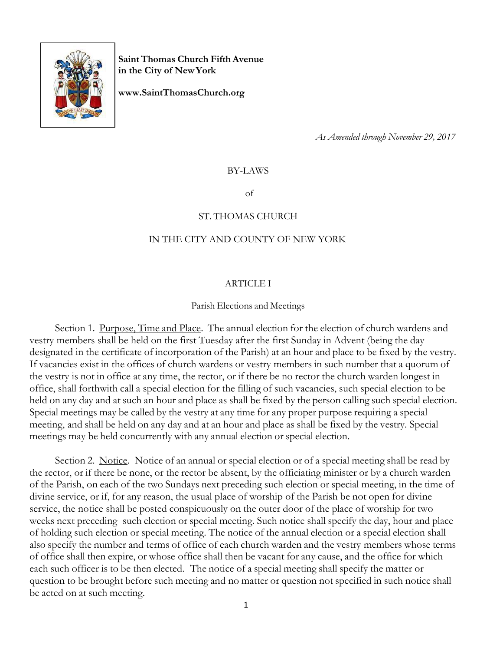

**Saint Thomas Church Fifth Avenue in the City of NewYork**

**[www.SaintThomasChurch.org](http://www.saintthomaschurch.org/)**

*As Amended through November 29, 2017*

BY-LAWS

of

### ST. THOMAS CHURCH

### IN THE CITY AND COUNTY OF NEW YORK

### ARTICLE I

Parish Elections and Meetings

Section 1. Purpose, Time and Place. The annual election for the election of church wardens and vestry members shall be held on the first Tuesday after the first Sunday in Advent (being the day designated in the certificate of incorporation of the Parish) at an hour and place to be fixed by the vestry. If vacancies exist in the offices of church wardens or vestry members in such number that a quorum of the vestry is not in office at any time, the rector, or if there be no rector the church warden longest in office, shall forthwith call a special election for the filling of such vacancies, such special election to be held on any day and at such an hour and place as shall be fixed by the person calling such special election. Special meetings may be called by the vestry at any time for any proper purpose requiring a special meeting, and shall be held on any day and at an hour and place as shall be fixed by the vestry. Special meetings may be held concurrently with any annual election or special election.

Section 2. Notice. Notice of an annual or special election or of a special meeting shall be read by the rector, or if there be none, or the rector be absent, by the officiating minister or by a church warden of the Parish, on each of the two Sundays next preceding such election or special meeting, in the time of divine service, or if, for any reason, the usual place of worship of the Parish be not open for divine service, the notice shall be posted conspicuously on the outer door of the place of worship for two weeks next preceding such election or special meeting. Such notice shall specify the day, hour and place of holding such election or special meeting. The notice of the annual election or a special election shall also specify the number and terms of office of each church warden and the vestry members whose terms of office shall then expire, or whose office shall then be vacant for any cause, and the office for which each such officer is to be then elected. The notice of a special meeting shall specify the matter or question to be brought before such meeting and no matter or question not specified in such notice shall be acted on at such meeting.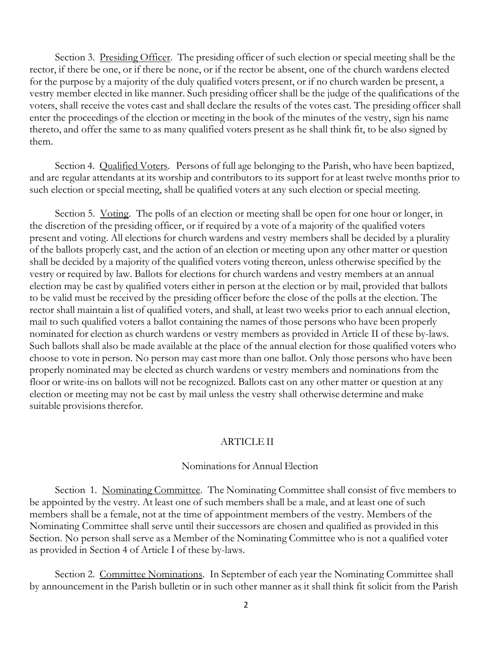Section 3. <u>Presiding Officer</u>. The presiding officer of such election or special meeting shall be the rector, if there be one, or if there be none, or if the rector be absent, one of the church wardens elected for the purpose by a majority of the duly qualified voters present, or if no church warden be present, a vestry member elected in like manner. Such presiding officer shall be the judge of the qualifications of the voters, shall receive the votes cast and shall declare the results of the votes cast. The presiding officer shall enter the proceedings of the election or meeting in the book of the minutes of the vestry, sign his name thereto, and offer the same to as many qualified voters present as he shall think fit, to be also signed by them.

Section 4. Qualified Voters. Persons of full age belonging to the Parish, who have been baptized, and are regular attendants at its worship and contributors to its support for at least twelve months prior to such election or special meeting, shall be qualified voters at any such election or special meeting.

Section 5. Voting. The polls of an election or meeting shall be open for one hour or longer, in the discretion of the presiding officer, or if required by a vote of a majority of the qualified voters present and voting. All elections for church wardens and vestry members shall be decided by a plurality of the ballots properly cast, and the action of an election or meeting upon any other matter or question shall be decided by a majority of the qualified voters voting thereon, unless otherwise specified by the vestry or required by law. Ballots for elections for church wardens and vestry members at an annual election may be cast by qualified voters either in person at the election or by mail, provided that ballots to be valid must be received by the presiding officer before the close of the polls at the election. The rector shall maintain a list of qualified voters, and shall, at least two weeks prior to each annual election, mail to such qualified voters a ballot containing the names of those persons who have been properly nominated for election as church wardens or vestry members as provided in Article II of these by-laws. Such ballots shall also be made available at the place of the annual election for those qualified voters who choose to vote in person. No person may cast more than one ballot. Only those persons who have been properly nominated may be elected as church wardens or vestry members and nominations from the floor or write-ins on ballots will not be recognized. Ballots cast on any other matter or question at any election or meeting may not be cast by mail unless the vestry shall otherwise determine and make suitable provisions therefor.

### ARTICLE II

### Nominations for Annual Election

Section 1. Nominating Committee. The Nominating Committee shall consist of five members to be appointed by the vestry. At least one of such members shall be a male, and at least one of such members shall be a female, not at the time of appointment members of the vestry. Members of the Nominating Committee shall serve until their successors are chosen and qualified as provided in this Section. No person shall serve as a Member of the Nominating Committee who is not a qualified voter as provided in Section 4 of Article I of these by-laws.

Section 2. Committee Nominations. In September of each year the Nominating Committee shall by announcement in the Parish bulletin or in such other manner as it shall think fit solicit from the Parish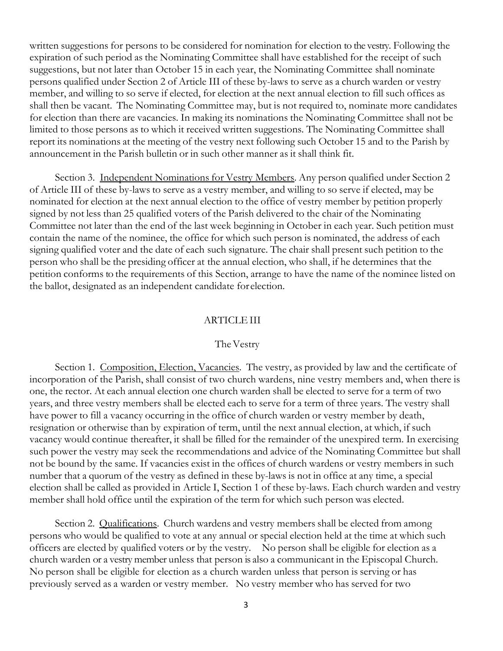written suggestions for persons to be considered for nomination for election to the vestry. Following the expiration of such period as the Nominating Committee shall have established for the receipt of such suggestions, but not later than October 15 in each year, the Nominating Committee shall nominate persons qualified under Section 2 of Article III of these by-laws to serve as a church warden or vestry member, and willing to so serve if elected, for election at the next annual election to fill such offices as shall then be vacant. The Nominating Committee may, but is not required to, nominate more candidates for election than there are vacancies. In making its nominations the Nominating Committee shall not be limited to those persons as to which it received written suggestions. The Nominating Committee shall report its nominations at the meeting of the vestry next following such October 15 and to the Parish by announcement in the Parish bulletin or in such other manner as it shall think fit.

Section 3. Independent Nominations for Vestry Members. Any person qualified under Section 2 of Article III of these by-laws to serve as a vestry member, and willing to so serve if elected, may be nominated for election at the next annual election to the office of vestry member by petition properly signed by not less than 25 qualified voters of the Parish delivered to the chair of the Nominating Committee not later than the end of the last week beginning in October in each year. Such petition must contain the name of the nominee, the office for which such person is nominated, the address of each signing qualified voter and the date of each such signature. The chair shall present such petition to the person who shall be the presiding officer at the annual election, who shall, if he determines that the petition conforms to the requirements of this Section, arrange to have the name of the nominee listed on the ballot, designated as an independent candidate for election.

#### ARTICLEIII

#### The Vestry

Section 1. Composition, Election, Vacancies. The vestry, as provided by law and the certificate of incorporation of the Parish, shall consist of two church wardens, nine vestry members and, when there is one, the rector. At each annual election one church warden shall be elected to serve for a term of two years, and three vestry members shall be elected each to serve for a term of three years. The vestry shall have power to fill a vacancy occurring in the office of church warden or vestry member by death, resignation or otherwise than by expiration of term, until the next annual election, at which, if such vacancy would continue thereafter, it shall be filled for the remainder of the unexpired term. In exercising such power the vestry may seek the recommendations and advice of the Nominating Committee but shall not be bound by the same. If vacancies exist in the offices of church wardens or vestry members in such number that a quorum of the vestry as defined in these by-laws is not in office at any time, a special election shall be called as provided in Article I, Section 1 of these by-laws. Each church warden and vestry member shall hold office until the expiration of the term for which such person was elected.

Section 2. Qualifications. Church wardens and vestry members shall be elected from among persons who would be qualified to vote at any annual or special election held at the time at which such officers are elected by qualified voters or by the vestry. No person shall be eligible for election as a church warden or a vestry member unless that person is also a communicant in the Episcopal Church. No person shall be eligible for election as a church warden unless that person is serving or has previously served as a warden or vestry member. No vestry member who has served for two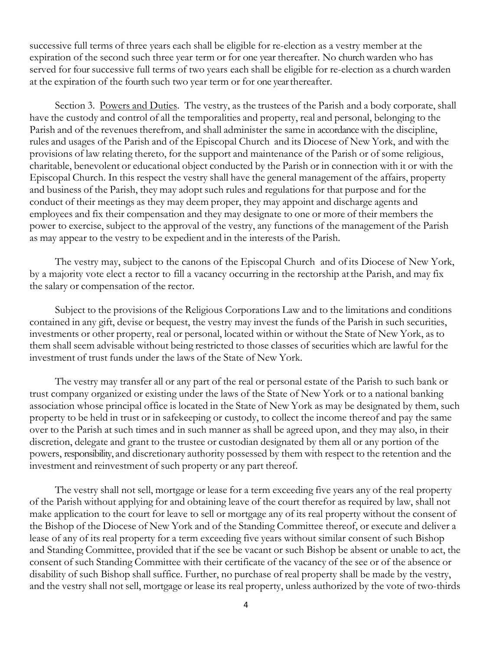successive full terms of three years each shall be eligible for re-election as a vestry member at the expiration of the second such three year term or for one year thereafter. No church warden who has served for four successive full terms of two years each shall be eligible for re-election as a church warden at the expiration of the fourth such two year term or for one yearthereafter.

Section 3. Powers and Duties. The vestry, as the trustees of the Parish and a body corporate, shall have the custody and control of all the temporalities and property, real and personal, belonging to the Parish and of the revenues therefrom, and shall administer the same in accordancewith the discipline, rules and usages of the Parish and of the Episcopal Church and its Diocese of New York, and with the provisions of law relating thereto, for the support and maintenance of the Parish or of some religious, charitable, benevolent or educational object conducted by the Parish or in connection with it or with the Episcopal Church. In this respect the vestry shall have the general management of the affairs, property and business of the Parish, they may adopt such rules and regulations for that purpose and for the conduct of their meetings as they may deem proper, they may appoint and discharge agents and employees and fix their compensation and they may designate to one or more of their members the power to exercise, subject to the approval of the vestry, any functions of the management of the Parish as may appear to the vestry to be expedient and in the interests of the Parish.

The vestry may, subject to the canons of the Episcopal Church and of its Diocese of New York, by a majority vote elect a rector to fill a vacancy occurring in the rectorship atthe Parish, and may fix the salary or compensation of the rector.

Subject to the provisions of the Religious Corporations Law and to the limitations and conditions contained in any gift, devise or bequest, the vestry may invest the funds of the Parish in such securities, investments or other property, real or personal, located within or without the State of New York, as to them shall seem advisable without being restricted to those classes of securities which are lawful for the investment of trust funds under the laws of the State of New York.

The vestry may transfer all or any part of the real or personal estate of the Parish to such bank or trust company organized or existing under the laws of the State of New York or to a national banking association whose principal office is located in the State of New York as may be designated by them, such property to be held in trust or in safekeeping or custody, to collect the income thereof and pay the same over to the Parish at such times and in such manner as shall be agreed upon, and they may also, in their discretion, delegate and grant to the trustee or custodian designated by them all or any portion of the powers, responsibility, and discretionary authority possessed by them with respect to the retention and the investment and reinvestment of such property or any part thereof.

The vestry shall not sell, mortgage or lease for a term exceeding five years any of the real property of the Parish without applying for and obtaining leave of the court therefor as required by law, shall not make application to the court for leave to sell or mortgage any of its real property without the consent of the Bishop of the Diocese of New York and of the Standing Committee thereof, or execute and deliver a lease of any of its real property for a term exceeding five years without similar consent of such Bishop and Standing Committee, provided that if the see be vacant or such Bishop be absent or unable to act, the consent of such Standing Committee with their certificate of the vacancy of the see or of the absence or disability of such Bishop shall suffice. Further, no purchase of real property shall be made by the vestry, and the vestry shall not sell, mortgage or lease its real property, unless authorized by the vote of two-thirds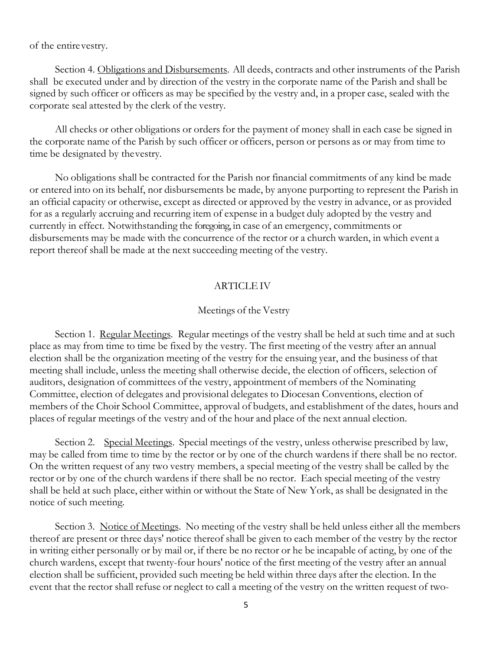of the entirevestry.

Section 4. Obligations and Disbursements. All deeds, contracts and other instruments of the Parish shall be executed under and by direction of the vestry in the corporate name of the Parish and shall be signed by such officer or officers as may be specified by the vestry and, in a proper case, sealed with the corporate seal attested by the clerk of the vestry.

All checks or other obligations or orders for the payment of money shall in each case be signed in the corporate name of the Parish by such officer or officers, person or persons as or may from time to time be designated by thevestry.

No obligations shall be contracted for the Parish nor financial commitments of any kind be made or entered into on its behalf, nor disbursements be made, by anyone purporting to represent the Parish in an official capacity or otherwise, except as directed or approved by the vestry in advance, or as provided for as a regularly accruing and recurring item of expense in a budget duly adopted by the vestry and currently in effect. Notwithstanding the foregoing, in case of an emergency, commitments or disbursements may be made with the concurrence of the rector or a church warden, in which event a report thereof shall be made at the next succeeding meeting of the vestry.

### ARTICLEIV

#### Meetings of the Vestry

Section 1. Regular Meetings. Regular meetings of the vestry shall be held at such time and at such place as may from time to time be fixed by the vestry. The first meeting of the vestry after an annual election shall be the organization meeting of the vestry for the ensuing year, and the business of that meeting shall include, unless the meeting shall otherwise decide, the election of officers, selection of auditors, designation of committees of the vestry, appointment of members of the Nominating Committee, election of delegates and provisional delegates to Diocesan Conventions, election of members of the Choir School Committee, approval of budgets, and establishment of the dates, hours and places of regular meetings of the vestry and of the hour and place of the next annual election.

Section 2. Special Meetings. Special meetings of the vestry, unless otherwise prescribed by law, may be called from time to time by the rector or by one of the church wardens if there shall be no rector. On the written request of any two vestry members, a special meeting of the vestry shall be called by the rector or by one of the church wardens if there shall be no rector. Each special meeting of the vestry shall be held at such place, either within or without the State of New York, as shall be designated in the notice of such meeting.

Section 3. Notice of Meetings. No meeting of the vestry shall be held unless either all the members thereof are present or three days' notice thereof shall be given to each member of the vestry by the rector in writing either personally or by mail or, if there be no rector or he be incapable of acting, by one of the church wardens, except that twenty-four hours' notice of the first meeting of the vestry after an annual election shall be sufficient, provided such meeting be held within three days after the election. In the event that the rector shall refuse or neglect to call a meeting of the vestry on the written request of two-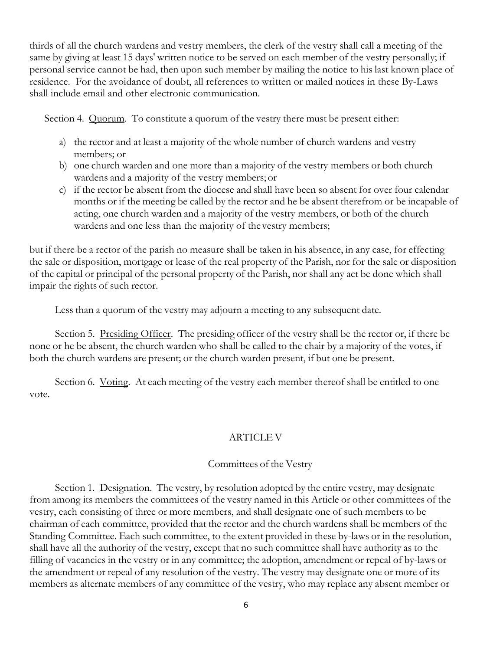thirds of all the church wardens and vestry members, the clerk of the vestry shall call a meeting of the same by giving at least 15 days' written notice to be served on each member of the vestry personally; if personal service cannot be had, then upon such member by mailing the notice to his last known place of residence. For the avoidance of doubt, all references to written or mailed notices in these By-Laws shall include email and other electronic communication.

Section 4. Quorum. To constitute a quorum of the vestry there must be present either:

- a) the rector and at least a majority of the whole number of church wardens and vestry members; or
- b) one church warden and one more than a majority of the vestry members or both church wardens and a majority of the vestry members; or
- c) if the rector be absent from the diocese and shall have been so absent for over four calendar months or if the meeting be called by the rector and he be absent therefrom or be incapable of acting, one church warden and a majority of the vestry members, or both of the church wardens and one less than the majority of thevestry members;

but if there be a rector of the parish no measure shall be taken in his absence, in any case, for effecting the sale or disposition, mortgage or lease of the real property of the Parish, nor for the sale or disposition of the capital or principal of the personal property of the Parish, nor shall any act be done which shall impair the rights of such rector.

Less than a quorum of the vestry may adjourn a meeting to any subsequent date.

Section 5. Presiding Officer. The presiding officer of the vestry shall be the rector or, if there be none or he be absent, the church warden who shall be called to the chair by a majority of the votes, if both the church wardens are present; or the church warden present, if but one be present.

Section 6. Voting. At each meeting of the vestry each member thereof shall be entitled to one vote.

# ARTICLE V

### Committees of the Vestry

Section 1. Designation. The vestry, by resolution adopted by the entire vestry, may designate from among its members the committees of the vestry named in this Article or other committees of the vestry, each consisting of three or more members, and shall designate one of such members to be chairman of each committee, provided that the rector and the church wardens shall be members of the Standing Committee. Each such committee, to the extent provided in these by-laws or in the resolution, shall have all the authority of the vestry, except that no such committee shall have authority as to the filling of vacancies in the vestry or in any committee; the adoption, amendment or repeal of by-laws or the amendment or repeal of any resolution of the vestry. The vestry may designate one or more of its members as alternate members of any committee of the vestry, who may replace any absent member or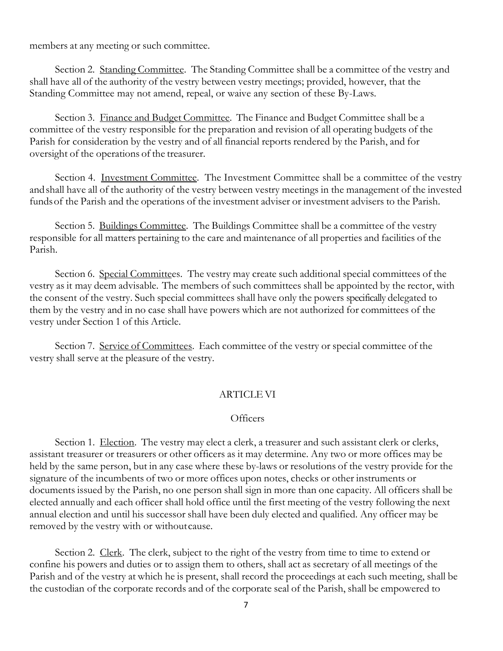members at any meeting or such committee.

Section 2. Standing Committee. The Standing Committee shall be a committee of the vestry and shall have all of the authority of the vestry between vestry meetings; provided, however, that the Standing Committee may not amend, repeal, or waive any section of these By-Laws.

Section 3. Finance and Budget Committee. The Finance and Budget Committee shall be a committee of the vestry responsible for the preparation and revision of all operating budgets of the Parish for consideration by the vestry and of all financial reports rendered by the Parish, and for oversight of the operations of the treasurer.

Section 4. Investment Committee. The Investment Committee shall be a committee of the vestry andshall have all of the authority of the vestry between vestry meetings in the management of the invested fundsof the Parish and the operations of the investment adviser or investment advisers to the Parish.

Section 5. Buildings Committee. The Buildings Committee shall be a committee of the vestry responsible for all matters pertaining to the care and maintenance of all properties and facilities of the Parish.

Section 6. Special Committees. The vestry may create such additional special committees of the vestry as it may deem advisable. The members of such committees shall be appointed by the rector, with the consent of the vestry. Such special committees shall have only the powers specifically delegated to them by the vestry and in no case shall have powers which are not authorized for committees of the vestry under Section 1 of this Article.

Section 7. Service of Committees. Each committee of the vestry or special committee of the vestry shall serve at the pleasure of the vestry.

# ARTICLEVI

### **Officers**

Section 1. Election. The vestry may elect a clerk, a treasurer and such assistant clerk or clerks, assistant treasurer or treasurers or other officers as it may determine. Any two or more offices may be held by the same person, but in any case where these by-laws or resolutions of the vestry provide for the signature of the incumbents of two or more offices upon notes, checks or other instruments or documents issued by the Parish, no one person shall sign in more than one capacity. All officers shall be elected annually and each officer shall hold office until the first meeting of the vestry following the next annual election and until his successor shall have been duly elected and qualified. Any officer may be removed by the vestry with or withoutcause.

Section 2. Clerk. The clerk, subject to the right of the vestry from time to time to extend or confine his powers and duties or to assign them to others, shall act as secretary of all meetings of the Parish and of the vestry at which he is present, shall record the proceedings at each such meeting, shall be the custodian of the corporate records and of the corporate seal of the Parish, shall be empowered to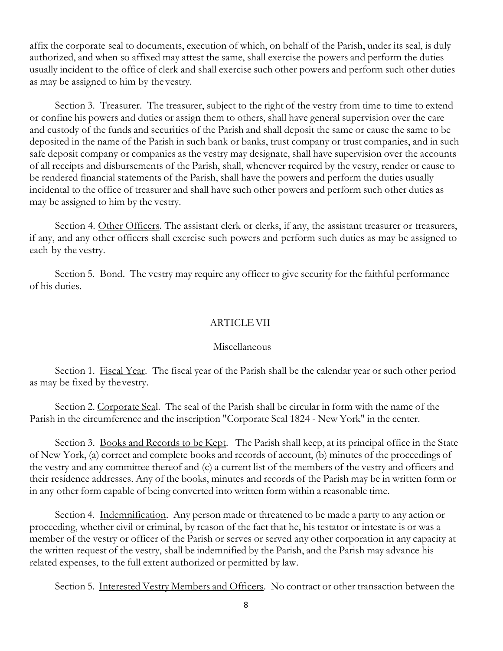affix the corporate seal to documents, execution of which, on behalf of the Parish, under its seal, is duly authorized, and when so affixed may attest the same, shall exercise the powers and perform the duties usually incident to the office of clerk and shall exercise such other powers and perform such other duties as may be assigned to him by the vestry.

Section 3. Treasurer. The treasurer, subject to the right of the vestry from time to time to extend or confine his powers and duties or assign them to others, shall have general supervision over the care and custody of the funds and securities of the Parish and shall deposit the same or cause the same to be deposited in the name of the Parish in such bank or banks, trust company or trust companies, and in such safe deposit company or companies as the vestry may designate, shall have supervision over the accounts of all receipts and disbursements of the Parish, shall, whenever required by the vestry, render or cause to be rendered financial statements of the Parish, shall have the powers and perform the duties usually incidental to the office of treasurer and shall have such other powers and perform such other duties as may be assigned to him by the vestry.

Section 4. Other Officers. The assistant clerk or clerks, if any, the assistant treasurer or treasurers, if any, and any other officers shall exercise such powers and perform such duties as may be assigned to each by the vestry.

Section 5. <u>Bond</u>. The vestry may require any officer to give security for the faithful performance of his duties.

### **ARTICLE VII**

### Miscellaneous

Section 1. Fiscal Year. The fiscal year of the Parish shall be the calendar year or such other period as may be fixed by thevestry.

Section 2. Corporate Seal. The seal of the Parish shall be circular in form with the name of the Parish in the circumference and the inscription "Corporate Seal 1824 - New York" in the center.

Section 3. Books and Records to be Kept. The Parish shall keep, at its principal office in the State of New York, (a) correct and complete books and records of account, (b) minutes of the proceedings of the vestry and any committee thereof and (c) a current list of the members of the vestry and officers and their residence addresses. Any of the books, minutes and records of the Parish may be in written form or in any other form capable of being converted into written form within a reasonable time.

Section 4. Indemnification. Any person made or threatened to be made a party to any action or proceeding, whether civil or criminal, by reason of the fact that he, his testator or intestate is or was a member of the vestry or officer of the Parish or serves or served any other corporation in any capacity at the written request of the vestry, shall be indemnified by the Parish, and the Parish may advance his related expenses, to the full extent authorized or permitted by law.

Section 5. Interested Vestry Members and Officers. No contract or other transaction between the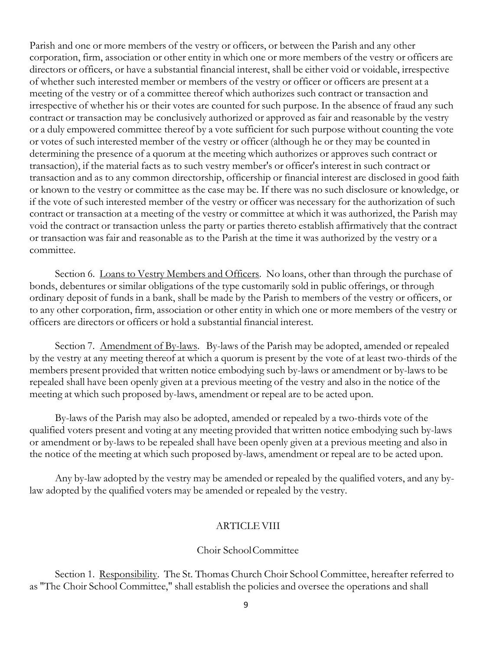Parish and one or more members of the vestry or officers, or between the Parish and any other corporation, firm, association or other entity in which one or more members of the vestry or officers are directors or officers, or have a substantial financial interest, shall be either void or voidable, irrespective of whether such interested member or members of the vestry or officer or officers are present at a meeting of the vestry or of a committee thereof which authorizes such contract or transaction and irrespective of whether his or their votes are counted for such purpose. In the absence of fraud any such contract or transaction may be conclusively authorized or approved as fair and reasonable by the vestry or a duly empowered committee thereof by a vote sufficient for such purpose without counting the vote or votes of such interested member of the vestry or officer (although he or they may be counted in determining the presence of a quorum at the meeting which authorizes or approves such contract or transaction), if the material facts as to such vestry member's or officer's interest in such contract or transaction and as to any common directorship, officership or financial interest are disclosed in good faith or known to the vestry or committee as the case may be. If there was no such disclosure or knowledge, or if the vote of such interested member of the vestry or officer was necessary for the authorization of such contract or transaction at a meeting of the vestry or committee at which it was authorized, the Parish may void the contract or transaction unless the party or parties thereto establish affirmatively that the contract or transaction was fair and reasonable as to the Parish at the time it was authorized by the vestry or a committee.

Section 6. Loans to Vestry Members and Officers. No loans, other than through the purchase of bonds, debentures or similar obligations of the type customarily sold in public offerings, or through ordinary deposit of funds in a bank, shall be made by the Parish to members of the vestry or officers, or to any other corporation, firm, association or other entity in which one or more members of the vestry or officers are directors or officers or hold a substantial financial interest.

Section 7. Amendment of By-laws. By-laws of the Parish may be adopted, amended or repealed by the vestry at any meeting thereof at which a quorum is present by the vote of at least two-thirds of the members present provided that written notice embodying such by-laws or amendment or by-laws to be repealed shall have been openly given at a previous meeting of the vestry and also in the notice of the meeting at which such proposed by-laws, amendment or repeal are to be acted upon.

By-laws of the Parish may also be adopted, amended or repealed by a two-thirds vote of the qualified voters present and voting at any meeting provided that written notice embodying such by-laws or amendment or by-laws to be repealed shall have been openly given at a previous meeting and also in the notice of the meeting at which such proposed by-laws, amendment or repeal are to be acted upon.

Any by-law adopted by the vestry may be amended or repealed by the qualified voters, and any bylaw adopted by the qualified voters may be amended or repealed by the vestry.

# ARTICLEVIII

### Choir SchoolCommittee

Section 1. Responsibility. The St. Thomas Church Choir School Committee, hereafter referred to as "The Choir School Committee," shall establish the policies and oversee the operations and shall